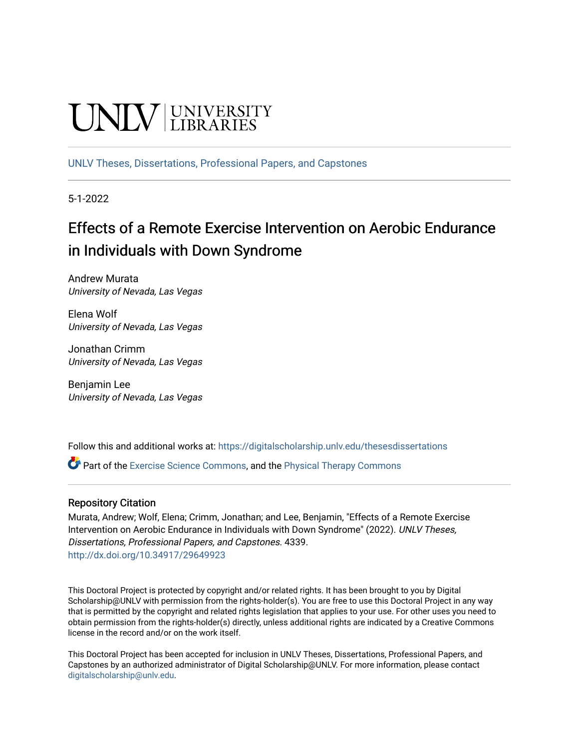# **UNIVERSITY**

[UNLV Theses, Dissertations, Professional Papers, and Capstones](https://digitalscholarship.unlv.edu/thesesdissertations)

5-1-2022

# Effects of a Remote Exercise Intervention on Aerobic Endurance in Individuals with Down Syndrome

Andrew Murata University of Nevada, Las Vegas

Elena Wolf University of Nevada, Las Vegas

Jonathan Crimm University of Nevada, Las Vegas

Benjamin Lee University of Nevada, Las Vegas

Follow this and additional works at: [https://digitalscholarship.unlv.edu/thesesdissertations](https://digitalscholarship.unlv.edu/thesesdissertations?utm_source=digitalscholarship.unlv.edu%2Fthesesdissertations%2F4339&utm_medium=PDF&utm_campaign=PDFCoverPages)

Part of the [Exercise Science Commons](https://network.bepress.com/hgg/discipline/1091?utm_source=digitalscholarship.unlv.edu%2Fthesesdissertations%2F4339&utm_medium=PDF&utm_campaign=PDFCoverPages), and the [Physical Therapy Commons](https://network.bepress.com/hgg/discipline/754?utm_source=digitalscholarship.unlv.edu%2Fthesesdissertations%2F4339&utm_medium=PDF&utm_campaign=PDFCoverPages) 

#### Repository Citation

Murata, Andrew; Wolf, Elena; Crimm, Jonathan; and Lee, Benjamin, "Effects of a Remote Exercise Intervention on Aerobic Endurance in Individuals with Down Syndrome" (2022). UNLV Theses, Dissertations, Professional Papers, and Capstones. 4339. <http://dx.doi.org/10.34917/29649923>

This Doctoral Project is protected by copyright and/or related rights. It has been brought to you by Digital Scholarship@UNLV with permission from the rights-holder(s). You are free to use this Doctoral Project in any way that is permitted by the copyright and related rights legislation that applies to your use. For other uses you need to obtain permission from the rights-holder(s) directly, unless additional rights are indicated by a Creative Commons license in the record and/or on the work itself.

This Doctoral Project has been accepted for inclusion in UNLV Theses, Dissertations, Professional Papers, and Capstones by an authorized administrator of Digital Scholarship@UNLV. For more information, please contact [digitalscholarship@unlv.edu](mailto:digitalscholarship@unlv.edu).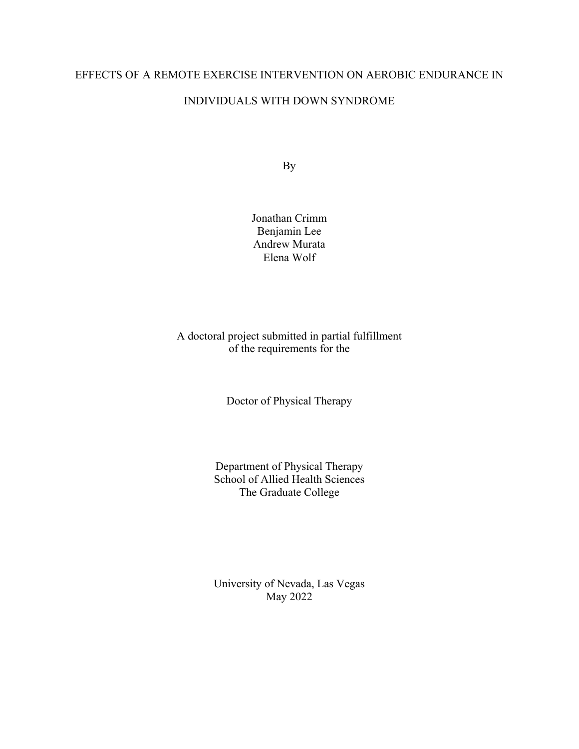# EFFECTS OF A REMOTE EXERCISE INTERVENTION ON AEROBIC ENDURANCE IN INDIVIDUALS WITH DOWN SYNDROME

By

Jonathan Crimm Benjamin Lee Andrew Murata Elena Wolf

# A doctoral project submitted in partial fulfillment of the requirements for the

Doctor of Physical Therapy

Department of Physical Therapy School of Allied Health Sciences The Graduate College

University of Nevada, Las Vegas May 2022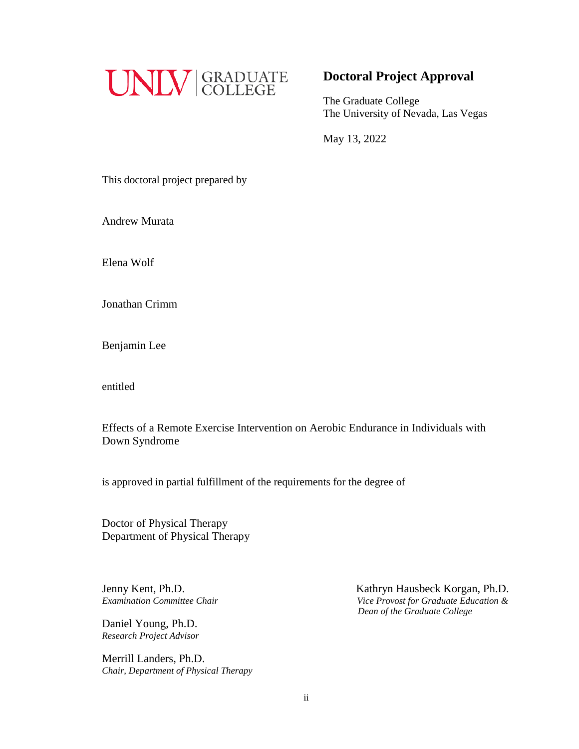

# **Doctoral Project Approval**

The Graduate College The University of Nevada, Las Vegas

May 13, 2022

This doctoral project prepared by

Andrew Murata

Elena Wolf

Jonathan Crimm

Benjamin Lee

entitled

Effects of a Remote Exercise Intervention on Aerobic Endurance in Individuals with Down Syndrome

is approved in partial fulfillment of the requirements for the degree of

Doctor of Physical Therapy Department of Physical Therapy

Jenny Kent, Ph.D.

Daniel Young, Ph.D. *Research Project Advisor*

Merrill Landers, Ph.D. *Chair, Department of Physical Therapy*

Jenny Kent, Ph.D.<br>*Examination Committee Chair by a commit commit committee Chair by a commit committee Chair by a committee Chair by a committee Chair by a committee Chair by a committee Chair by a committee Examination Committee Chair Vice Provost for Graduate Education & Dean of the Graduate College*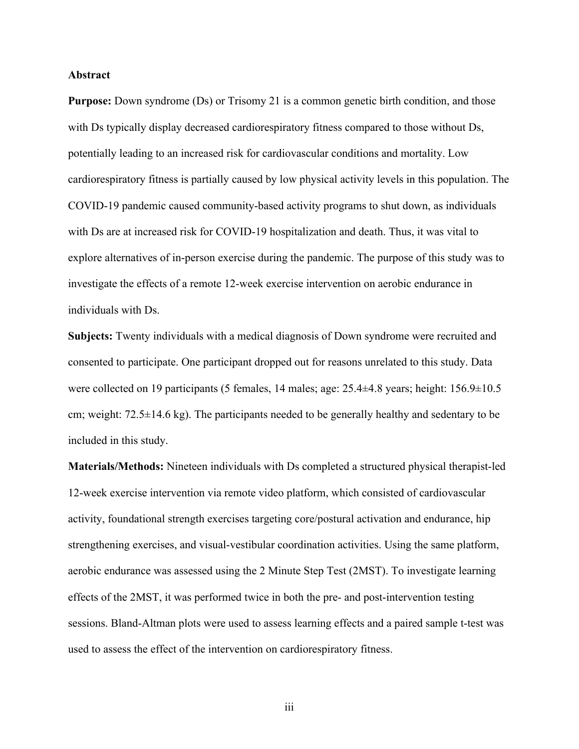#### **Abstract**

**Purpose:** Down syndrome (Ds) or Trisomy 21 is a common genetic birth condition, and those with Ds typically display decreased cardiorespiratory fitness compared to those without Ds, potentially leading to an increased risk for cardiovascular conditions and mortality. Low cardiorespiratory fitness is partially caused by low physical activity levels in this population. The COVID-19 pandemic caused community-based activity programs to shut down, as individuals with Ds are at increased risk for COVID-19 hospitalization and death. Thus, it was vital to explore alternatives of in-person exercise during the pandemic. The purpose of this study was to investigate the effects of a remote 12-week exercise intervention on aerobic endurance in individuals with Ds.

**Subjects:** Twenty individuals with a medical diagnosis of Down syndrome were recruited and consented to participate. One participant dropped out for reasons unrelated to this study. Data were collected on 19 participants (5 females, 14 males; age: 25.4±4.8 years; height: 156.9±10.5 cm; weight:  $72.5\pm14.6$  kg). The participants needed to be generally healthy and sedentary to be included in this study.

**Materials/Methods:** Nineteen individuals with Ds completed a structured physical therapist-led 12-week exercise intervention via remote video platform, which consisted of cardiovascular activity, foundational strength exercises targeting core/postural activation and endurance, hip strengthening exercises, and visual-vestibular coordination activities. Using the same platform, aerobic endurance was assessed using the 2 Minute Step Test (2MST). To investigate learning effects of the 2MST, it was performed twice in both the pre- and post-intervention testing sessions. Bland-Altman plots were used to assess learning effects and a paired sample t-test was used to assess the effect of the intervention on cardiorespiratory fitness.

iii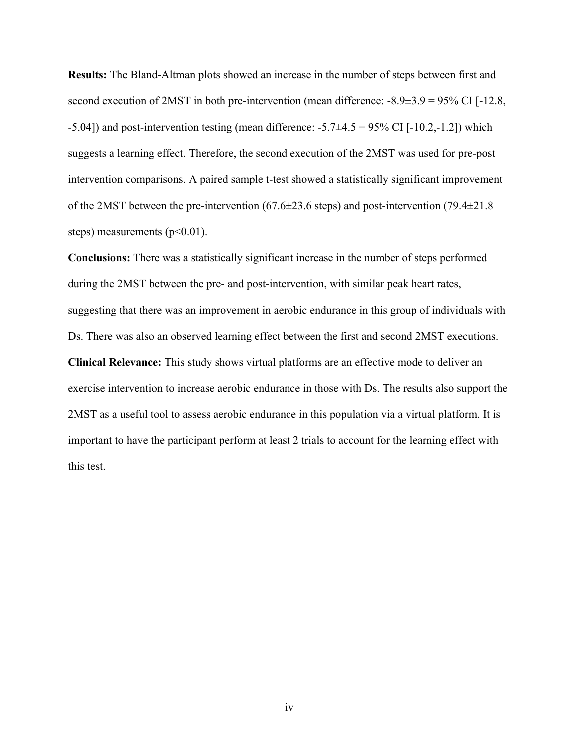**Results:** The Bland-Altman plots showed an increase in the number of steps between first and second execution of 2MST in both pre-intervention (mean difference:  $-8.9\pm3.9 = 95\%$  CI [ $-12.8$ , -5.04]) and post-intervention testing (mean difference:  $-5.7\pm4.5 = 95\%$  CI [ $-10.2, -1.2$ ]) which suggests a learning effect. Therefore, the second execution of the 2MST was used for pre-post intervention comparisons. A paired sample t-test showed a statistically significant improvement of the 2MST between the pre-intervention (67.6±23.6 steps) and post-intervention (79.4±21.8 steps) measurements  $(p<0.01)$ .

**Conclusions:** There was a statistically significant increase in the number of steps performed during the 2MST between the pre- and post-intervention, with similar peak heart rates, suggesting that there was an improvement in aerobic endurance in this group of individuals with Ds. There was also an observed learning effect between the first and second 2MST executions. **Clinical Relevance:** This study shows virtual platforms are an effective mode to deliver an exercise intervention to increase aerobic endurance in those with Ds. The results also support the 2MST as a useful tool to assess aerobic endurance in this population via a virtual platform. It is important to have the participant perform at least 2 trials to account for the learning effect with this test.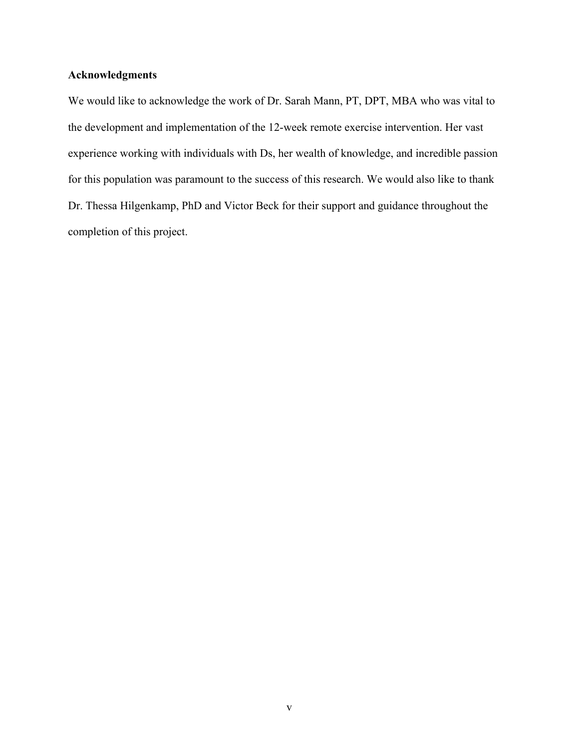# **Acknowledgments**

We would like to acknowledge the work of Dr. Sarah Mann, PT, DPT, MBA who was vital to the development and implementation of the 12-week remote exercise intervention. Her vast experience working with individuals with Ds, her wealth of knowledge, and incredible passion for this population was paramount to the success of this research. We would also like to thank Dr. Thessa Hilgenkamp, PhD and Victor Beck for their support and guidance throughout the completion of this project.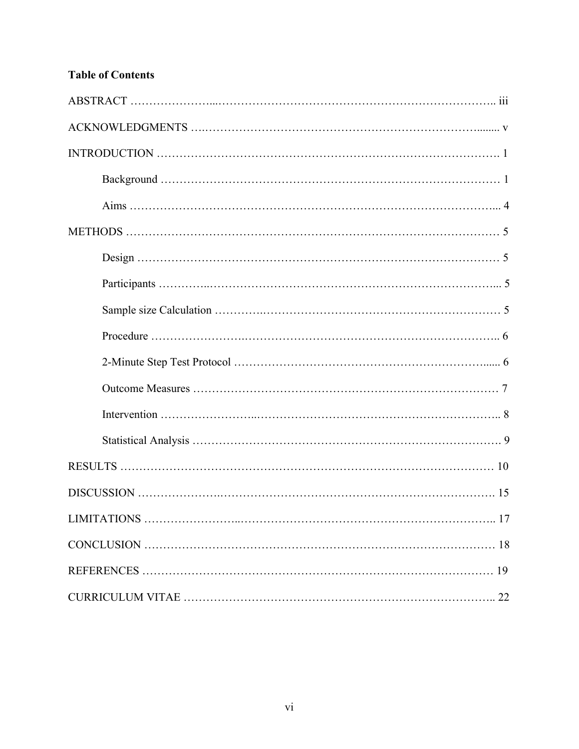# **Table of Contents**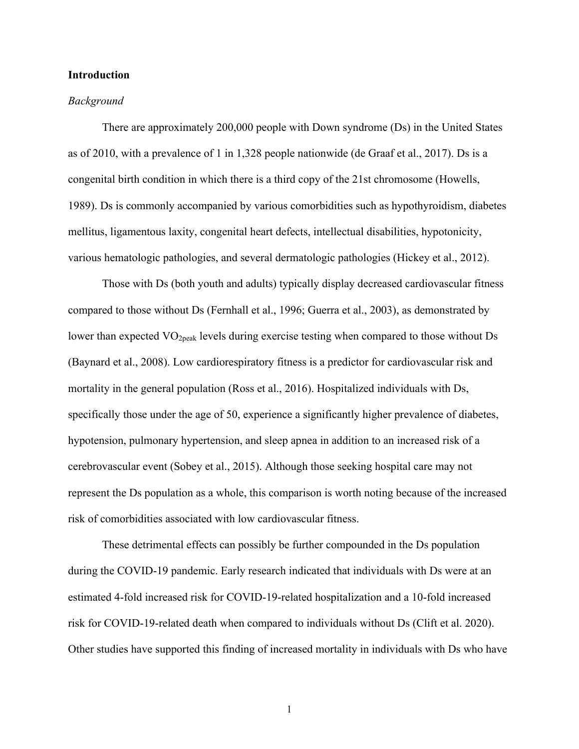#### **Introduction**

#### *Background*

There are approximately 200,000 people with Down syndrome (Ds) in the United States as of 2010, with a prevalence of 1 in 1,328 people nationwide (de Graaf et al., 2017). Ds is a congenital birth condition in which there is a third copy of the 21st chromosome (Howells, 1989). Ds is commonly accompanied by various comorbidities such as hypothyroidism, diabetes mellitus, ligamentous laxity, congenital heart defects, intellectual disabilities, hypotonicity, various hematologic pathologies, and several dermatologic pathologies (Hickey et al., 2012).

Those with Ds (both youth and adults) typically display decreased cardiovascular fitness compared to those without Ds (Fernhall et al., 1996; Guerra et al., 2003), as demonstrated by lower than expected  $VO<sub>2peak</sub>$  levels during exercise testing when compared to those without Ds (Baynard et al., 2008). Low cardiorespiratory fitness is a predictor for cardiovascular risk and mortality in the general population (Ross et al., 2016). Hospitalized individuals with Ds, specifically those under the age of 50, experience a significantly higher prevalence of diabetes, hypotension, pulmonary hypertension, and sleep apnea in addition to an increased risk of a cerebrovascular event (Sobey et al., 2015). Although those seeking hospital care may not represent the Ds population as a whole, this comparison is worth noting because of the increased risk of comorbidities associated with low cardiovascular fitness.

These detrimental effects can possibly be further compounded in the Ds population during the COVID-19 pandemic. Early research indicated that individuals with Ds were at an estimated 4-fold increased risk for COVID-19-related hospitalization and a 10-fold increased risk for COVID-19-related death when compared to individuals without Ds (Clift et al. 2020). Other studies have supported this finding of increased mortality in individuals with Ds who have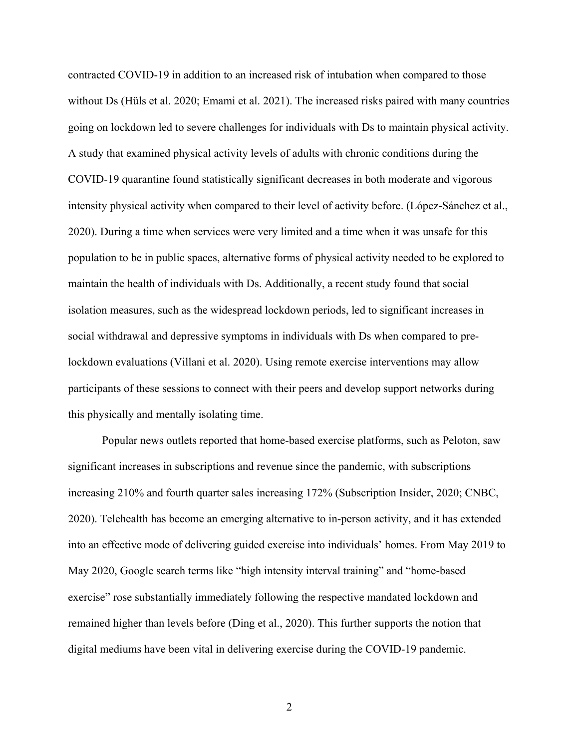contracted COVID-19 in addition to an increased risk of intubation when compared to those without Ds (Hüls et al. 2020; Emami et al. 2021). The increased risks paired with many countries going on lockdown led to severe challenges for individuals with Ds to maintain physical activity. A study that examined physical activity levels of adults with chronic conditions during the COVID-19 quarantine found statistically significant decreases in both moderate and vigorous intensity physical activity when compared to their level of activity before. (López-Sánchez et al., 2020). During a time when services were very limited and a time when it was unsafe for this population to be in public spaces, alternative forms of physical activity needed to be explored to maintain the health of individuals with Ds. Additionally, a recent study found that social isolation measures, such as the widespread lockdown periods, led to significant increases in social withdrawal and depressive symptoms in individuals with Ds when compared to prelockdown evaluations (Villani et al. 2020). Using remote exercise interventions may allow participants of these sessions to connect with their peers and develop support networks during this physically and mentally isolating time.

Popular news outlets reported that home-based exercise platforms, such as Peloton, saw significant increases in subscriptions and revenue since the pandemic, with subscriptions increasing 210% and fourth quarter sales increasing 172% (Subscription Insider, 2020; CNBC, 2020). Telehealth has become an emerging alternative to in-person activity, and it has extended into an effective mode of delivering guided exercise into individuals' homes. From May 2019 to May 2020, Google search terms like "high intensity interval training" and "home-based exercise" rose substantially immediately following the respective mandated lockdown and remained higher than levels before (Ding et al., 2020). This further supports the notion that digital mediums have been vital in delivering exercise during the COVID-19 pandemic.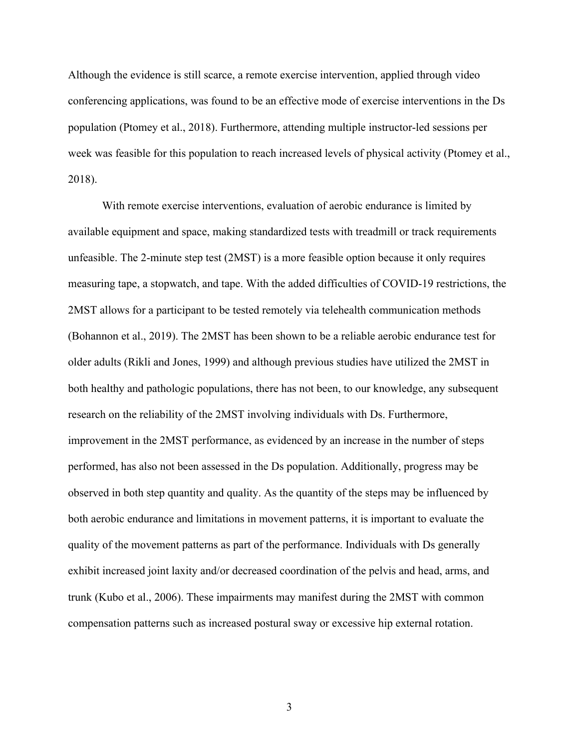Although the evidence is still scarce, a remote exercise intervention, applied through video conferencing applications, was found to be an effective mode of exercise interventions in the Ds population (Ptomey et al., 2018). Furthermore, attending multiple instructor-led sessions per week was feasible for this population to reach increased levels of physical activity (Ptomey et al., 2018).

With remote exercise interventions, evaluation of aerobic endurance is limited by available equipment and space, making standardized tests with treadmill or track requirements unfeasible. The 2-minute step test (2MST) is a more feasible option because it only requires measuring tape, a stopwatch, and tape. With the added difficulties of COVID-19 restrictions, the 2MST allows for a participant to be tested remotely via telehealth communication methods (Bohannon et al., 2019). The 2MST has been shown to be a reliable aerobic endurance test for older adults (Rikli and Jones, 1999) and although previous studies have utilized the 2MST in both healthy and pathologic populations, there has not been, to our knowledge, any subsequent research on the reliability of the 2MST involving individuals with Ds. Furthermore, improvement in the 2MST performance, as evidenced by an increase in the number of steps performed, has also not been assessed in the Ds population. Additionally, progress may be observed in both step quantity and quality. As the quantity of the steps may be influenced by both aerobic endurance and limitations in movement patterns, it is important to evaluate the quality of the movement patterns as part of the performance. Individuals with Ds generally exhibit increased joint laxity and/or decreased coordination of the pelvis and head, arms, and trunk (Kubo et al., 2006). These impairments may manifest during the 2MST with common compensation patterns such as increased postural sway or excessive hip external rotation.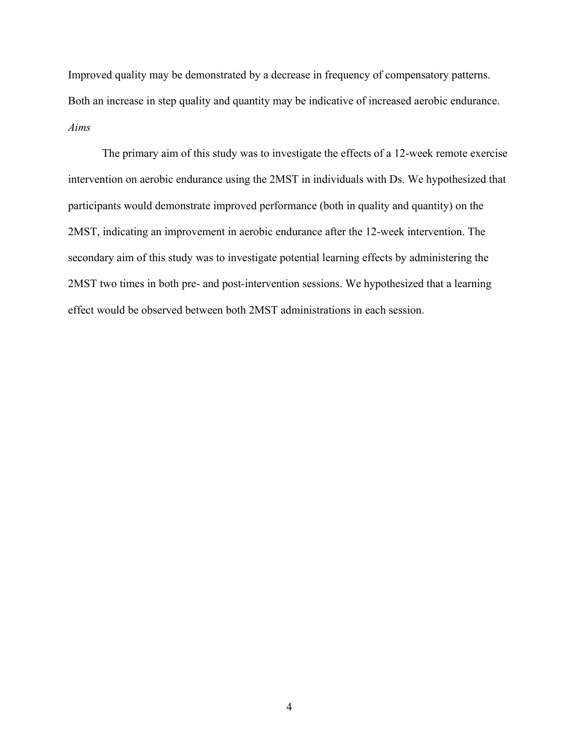Improved quality may be demonstrated by a decrease in frequency of compensatory patterns. Both an increase in step quality and quantity may be indicative of increased aerobic endurance. *Aims*

The primary aim of this study was to investigate the effects of a 12-week remote exercise intervention on aerobic endurance using the 2MST in individuals with Ds. We hypothesized that participants would demonstrate improved performance (both in quality and quantity) on the 2MST, indicating an improvement in aerobic endurance after the 12-week intervention. The secondary aim of this study was to investigate potential learning effects by administering the 2MST two times in both pre- and post-intervention sessions. We hypothesized that a learning effect would be observed between both 2MST administrations in each session.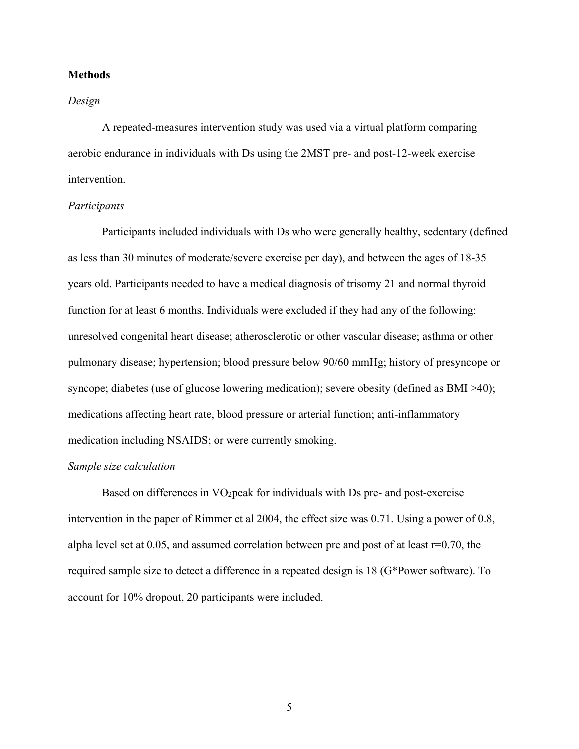#### **Methods**

#### *Design*

A repeated-measures intervention study was used via a virtual platform comparing aerobic endurance in individuals with Ds using the 2MST pre- and post-12-week exercise intervention.

#### *Participants*

Participants included individuals with Ds who were generally healthy, sedentary (defined as less than 30 minutes of moderate/severe exercise per day), and between the ages of 18-35 years old. Participants needed to have a medical diagnosis of trisomy 21 and normal thyroid function for at least 6 months. Individuals were excluded if they had any of the following: unresolved congenital heart disease; atherosclerotic or other vascular disease; asthma or other pulmonary disease; hypertension; blood pressure below 90/60 mmHg; history of presyncope or syncope; diabetes (use of glucose lowering medication); severe obesity (defined as BMI >40); medications affecting heart rate, blood pressure or arterial function; anti-inflammatory medication including NSAIDS; or were currently smoking.

#### *Sample size calculation*

Based on differences in  $VO<sub>2</sub>peak$  for individuals with Ds pre- and post-exercise intervention in the paper of Rimmer et al 2004, the effect size was 0.71. Using a power of 0.8, alpha level set at 0.05, and assumed correlation between pre and post of at least r=0.70, the required sample size to detect a difference in a repeated design is 18 (G\*Power software). To account for 10% dropout, 20 participants were included.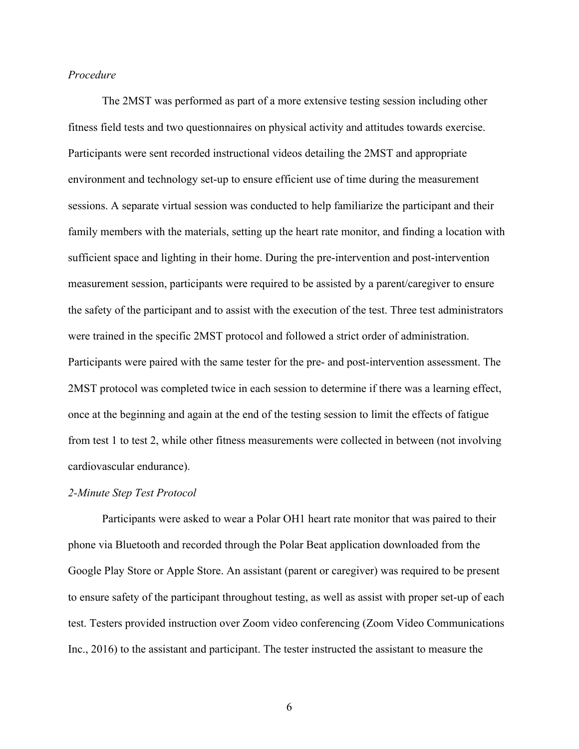#### *Procedure*

The 2MST was performed as part of a more extensive testing session including other fitness field tests and two questionnaires on physical activity and attitudes towards exercise. Participants were sent recorded instructional videos detailing the 2MST and appropriate environment and technology set-up to ensure efficient use of time during the measurement sessions. A separate virtual session was conducted to help familiarize the participant and their family members with the materials, setting up the heart rate monitor, and finding a location with sufficient space and lighting in their home. During the pre-intervention and post-intervention measurement session, participants were required to be assisted by a parent/caregiver to ensure the safety of the participant and to assist with the execution of the test. Three test administrators were trained in the specific 2MST protocol and followed a strict order of administration. Participants were paired with the same tester for the pre- and post-intervention assessment. The 2MST protocol was completed twice in each session to determine if there was a learning effect, once at the beginning and again at the end of the testing session to limit the effects of fatigue from test 1 to test 2, while other fitness measurements were collected in between (not involving cardiovascular endurance).

#### *2-Minute Step Test Protocol*

Participants were asked to wear a Polar OH1 heart rate monitor that was paired to their phone via Bluetooth and recorded through the Polar Beat application downloaded from the Google Play Store or Apple Store. An assistant (parent or caregiver) was required to be present to ensure safety of the participant throughout testing, as well as assist with proper set-up of each test. Testers provided instruction over Zoom video conferencing (Zoom Video Communications Inc., 2016) to the assistant and participant. The tester instructed the assistant to measure the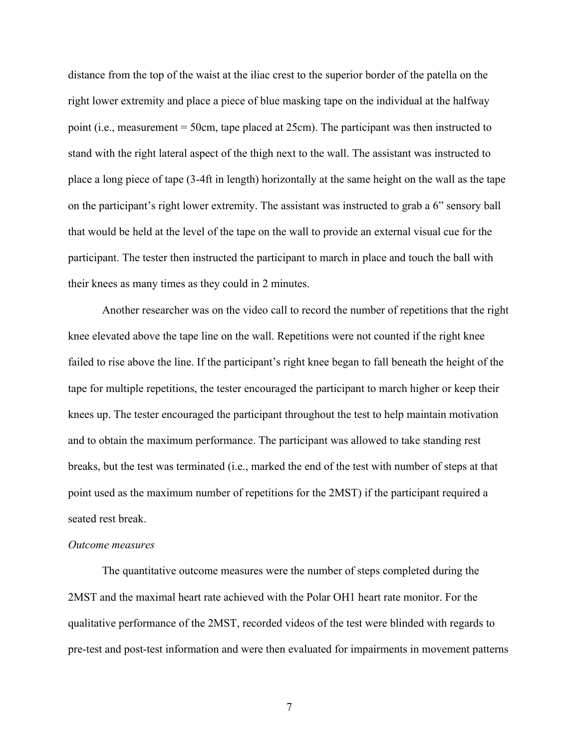distance from the top of the waist at the iliac crest to the superior border of the patella on the right lower extremity and place a piece of blue masking tape on the individual at the halfway point (i.e., measurement = 50cm, tape placed at 25cm). The participant was then instructed to stand with the right lateral aspect of the thigh next to the wall. The assistant was instructed to place a long piece of tape (3-4ft in length) horizontally at the same height on the wall as the tape on the participant's right lower extremity. The assistant was instructed to grab a 6" sensory ball that would be held at the level of the tape on the wall to provide an external visual cue for the participant. The tester then instructed the participant to march in place and touch the ball with their knees as many times as they could in 2 minutes.

Another researcher was on the video call to record the number of repetitions that the right knee elevated above the tape line on the wall. Repetitions were not counted if the right knee failed to rise above the line. If the participant's right knee began to fall beneath the height of the tape for multiple repetitions, the tester encouraged the participant to march higher or keep their knees up. The tester encouraged the participant throughout the test to help maintain motivation and to obtain the maximum performance. The participant was allowed to take standing rest breaks, but the test was terminated (i.e., marked the end of the test with number of steps at that point used as the maximum number of repetitions for the 2MST) if the participant required a seated rest break.

#### *Outcome measures*

The quantitative outcome measures were the number of steps completed during the 2MST and the maximal heart rate achieved with the Polar OH1 heart rate monitor. For the qualitative performance of the 2MST, recorded videos of the test were blinded with regards to pre-test and post-test information and were then evaluated for impairments in movement patterns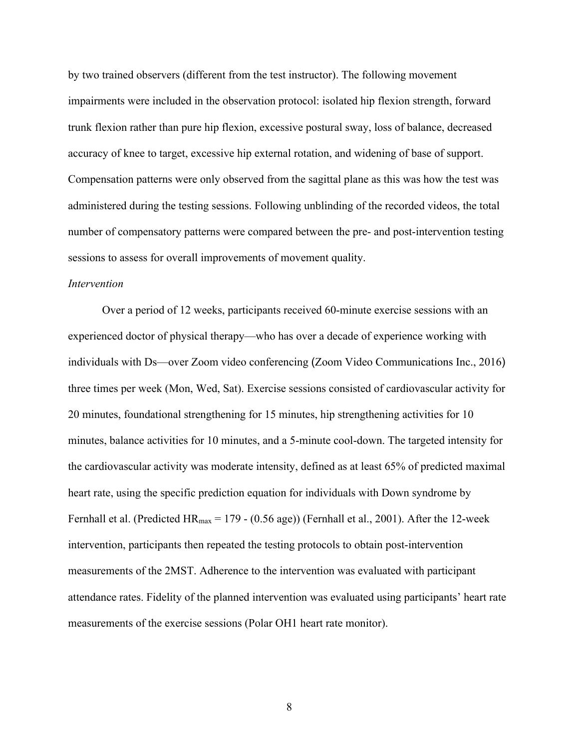by two trained observers (different from the test instructor). The following movement impairments were included in the observation protocol: isolated hip flexion strength, forward trunk flexion rather than pure hip flexion, excessive postural sway, loss of balance, decreased accuracy of knee to target, excessive hip external rotation, and widening of base of support. Compensation patterns were only observed from the sagittal plane as this was how the test was administered during the testing sessions. Following unblinding of the recorded videos, the total number of compensatory patterns were compared between the pre- and post-intervention testing sessions to assess for overall improvements of movement quality.

#### *Intervention*

Over a period of 12 weeks, participants received 60-minute exercise sessions with an experienced doctor of physical therapy—who has over a decade of experience working with individuals with Ds—over Zoom video conferencing (Zoom Video Communications Inc., 2016) three times per week (Mon, Wed, Sat). Exercise sessions consisted of cardiovascular activity for 20 minutes, foundational strengthening for 15 minutes, hip strengthening activities for 10 minutes, balance activities for 10 minutes, and a 5-minute cool-down. The targeted intensity for the cardiovascular activity was moderate intensity, defined as at least 65% of predicted maximal heart rate, using the specific prediction equation for individuals with Down syndrome by Fernhall et al. (Predicted  $HR_{max} = 179 - (0.56 \text{ age})$ ) (Fernhall et al., 2001). After the 12-week intervention, participants then repeated the testing protocols to obtain post-intervention measurements of the 2MST. Adherence to the intervention was evaluated with participant attendance rates. Fidelity of the planned intervention was evaluated using participants' heart rate measurements of the exercise sessions (Polar OH1 heart rate monitor).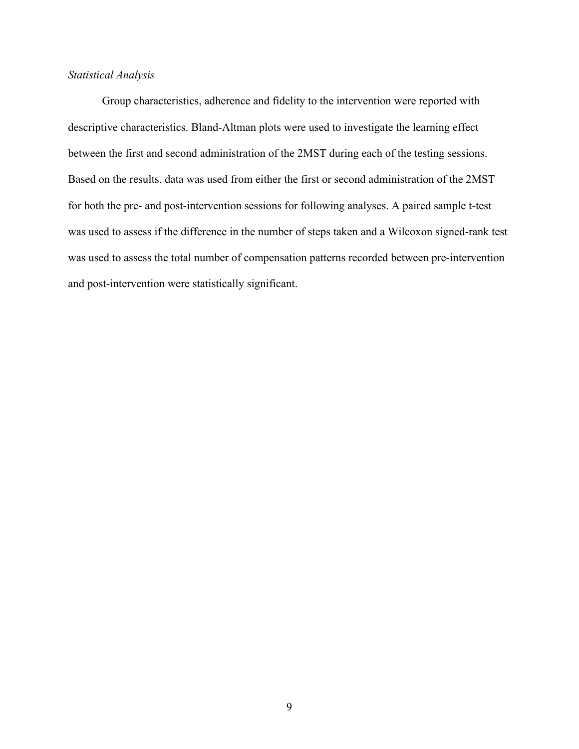#### *Statistical Analysis*

Group characteristics, adherence and fidelity to the intervention were reported with descriptive characteristics. Bland-Altman plots were used to investigate the learning effect between the first and second administration of the 2MST during each of the testing sessions. Based on the results, data was used from either the first or second administration of the 2MST for both the pre- and post-intervention sessions for following analyses. A paired sample t-test was used to assess if the difference in the number of steps taken and a Wilcoxon signed-rank test was used to assess the total number of compensation patterns recorded between pre-intervention and post-intervention were statistically significant.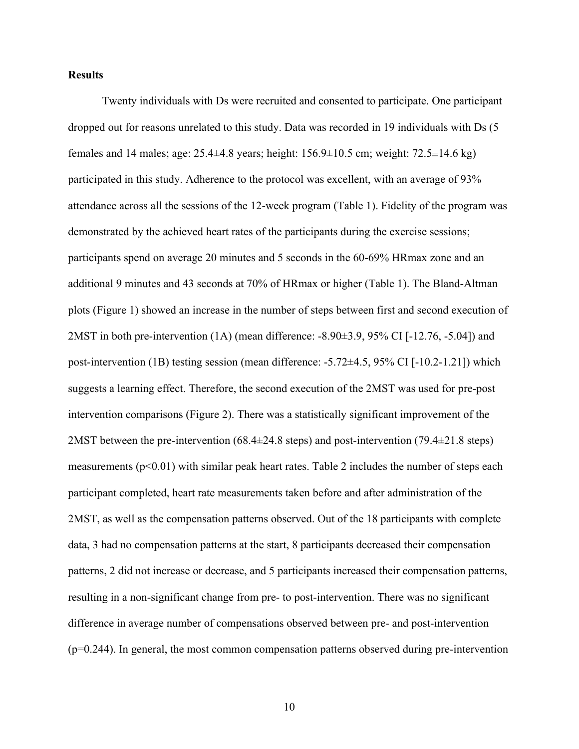#### **Results**

Twenty individuals with Ds were recruited and consented to participate. One participant dropped out for reasons unrelated to this study. Data was recorded in 19 individuals with Ds (5 females and 14 males; age: 25.4±4.8 years; height: 156.9±10.5 cm; weight: 72.5±14.6 kg) participated in this study. Adherence to the protocol was excellent, with an average of 93% attendance across all the sessions of the 12-week program (Table 1). Fidelity of the program was demonstrated by the achieved heart rates of the participants during the exercise sessions; participants spend on average 20 minutes and 5 seconds in the 60-69% HRmax zone and an additional 9 minutes and 43 seconds at 70% of HRmax or higher (Table 1). The Bland-Altman plots (Figure 1) showed an increase in the number of steps between first and second execution of 2MST in both pre-intervention (1A) (mean difference: -8.90±3.9, 95% CI [-12.76, -5.04]) and post-intervention (1B) testing session (mean difference: -5.72±4.5, 95% CI [-10.2-1.21]) which suggests a learning effect. Therefore, the second execution of the 2MST was used for pre-post intervention comparisons (Figure 2). There was a statistically significant improvement of the 2MST between the pre-intervention  $(68.4\pm 24.8$  steps) and post-intervention  $(79.4\pm 21.8$  steps) measurements ( $p<0.01$ ) with similar peak heart rates. Table 2 includes the number of steps each participant completed, heart rate measurements taken before and after administration of the 2MST, as well as the compensation patterns observed. Out of the 18 participants with complete data, 3 had no compensation patterns at the start, 8 participants decreased their compensation patterns, 2 did not increase or decrease, and 5 participants increased their compensation patterns, resulting in a non-significant change from pre- to post-intervention. There was no significant difference in average number of compensations observed between pre- and post-intervention (p=0.244). In general, the most common compensation patterns observed during pre-intervention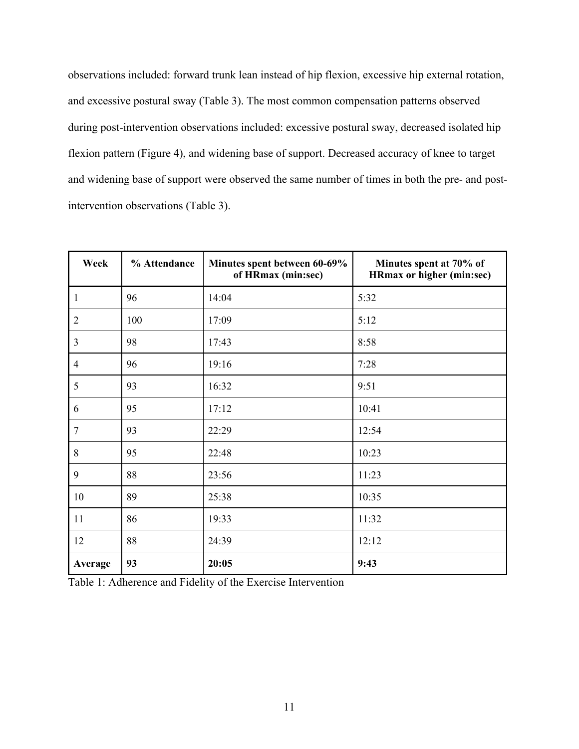observations included: forward trunk lean instead of hip flexion, excessive hip external rotation, and excessive postural sway (Table 3). The most common compensation patterns observed during post-intervention observations included: excessive postural sway, decreased isolated hip flexion pattern (Figure 4), and widening base of support. Decreased accuracy of knee to target and widening base of support were observed the same number of times in both the pre- and postintervention observations (Table 3).

| Week           | % Attendance | Minutes spent between 60-69%<br>of HRmax (min:sec) | Minutes spent at 70% of<br><b>HRmax or higher (min:sec)</b> |
|----------------|--------------|----------------------------------------------------|-------------------------------------------------------------|
| $\mathbf{1}$   | 96           | 14:04                                              | 5:32                                                        |
| $\overline{2}$ | 100          | 17:09                                              | 5:12                                                        |
| $\overline{3}$ | 98           | 17:43                                              | 8:58                                                        |
| $\overline{4}$ | 96           | 19:16                                              | 7:28                                                        |
| 5              | 93           | 16:32                                              | 9:51                                                        |
| 6              | 95           | 17:12                                              | 10:41                                                       |
| $\overline{7}$ | 93           | 22:29                                              | 12:54                                                       |
| 8              | 95           | 22:48                                              | 10:23                                                       |
| 9              | 88           | 23:56                                              | 11:23                                                       |
| 10             | 89           | 25:38                                              | 10:35                                                       |
| 11             | 86           | 19:33                                              | 11:32                                                       |
| 12             | 88           | 24:39                                              | 12:12                                                       |
| Average        | 93           | 20:05                                              | 9:43                                                        |

Table 1: Adherence and Fidelity of the Exercise Intervention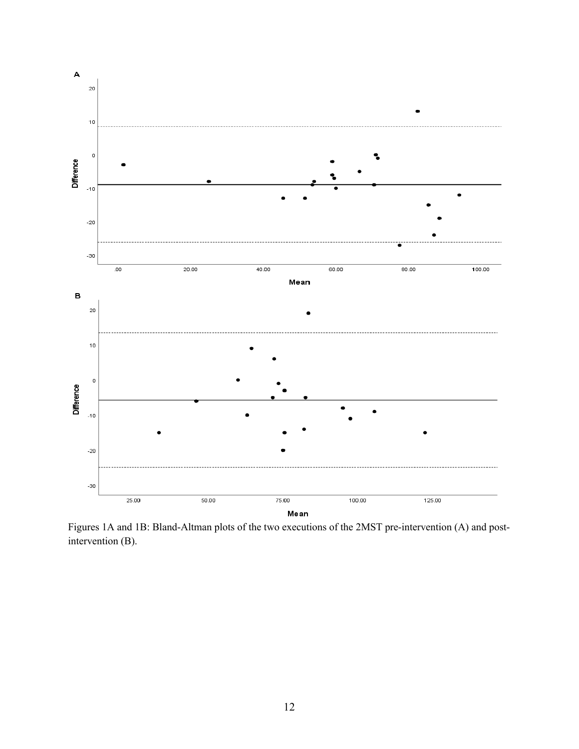

Figures 1A and 1B: Bland-Altman plots of the two executions of the 2MST pre-intervention (A) and postintervention (B).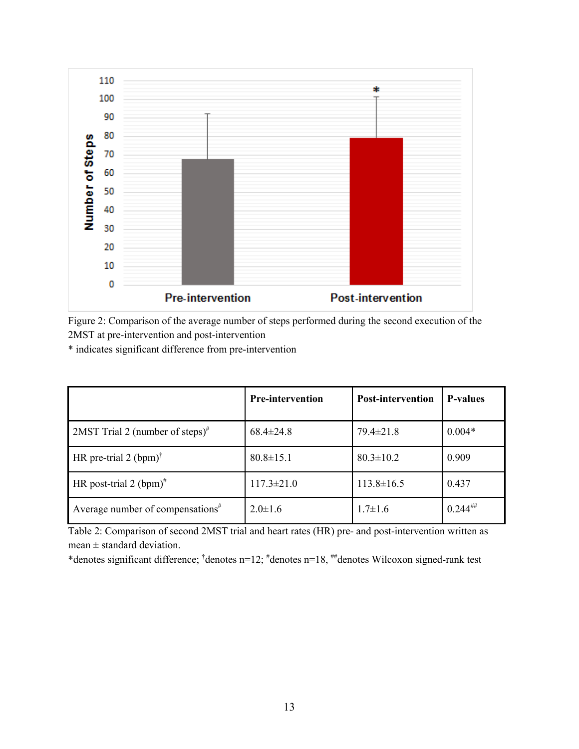

Figure 2: Comparison of the average number of steps performed during the second execution of the 2MST at pre-intervention and post-intervention

\* indicates significant difference from pre-intervention

|                                                      | <b>Pre-intervention</b> | <b>Post-intervention</b> | <b>P-values</b> |
|------------------------------------------------------|-------------------------|--------------------------|-----------------|
| 2MST Trial 2 (number of steps) <sup>#</sup>          | $68.4 \pm 24.8$         | $79.4 \pm 21.8$          | $0.004*$        |
| HR pre-trial 2 (bpm) <sup><math>\dagger</math></sup> | $80.8 \pm 15.1$         | $80.3 \pm 10.2$          | 0.909           |
| HR post-trial 2 $(bpm)^{#}$                          | $117.3 \pm 21.0$        | $113.8 \pm 16.5$         | 0.437           |
| Average number of compensations $*$                  | $2.0 \pm 1.6$           | $1.7 \pm 1.6$            | $0.244^{$       |

Table 2: Comparison of second 2MST trial and heart rates (HR) pre- and post-intervention written as  $mean \pm standard deviation$ .

\*denotes significant difference; † denotes n=12; # denotes n=18, ##denotes Wilcoxon signed-rank test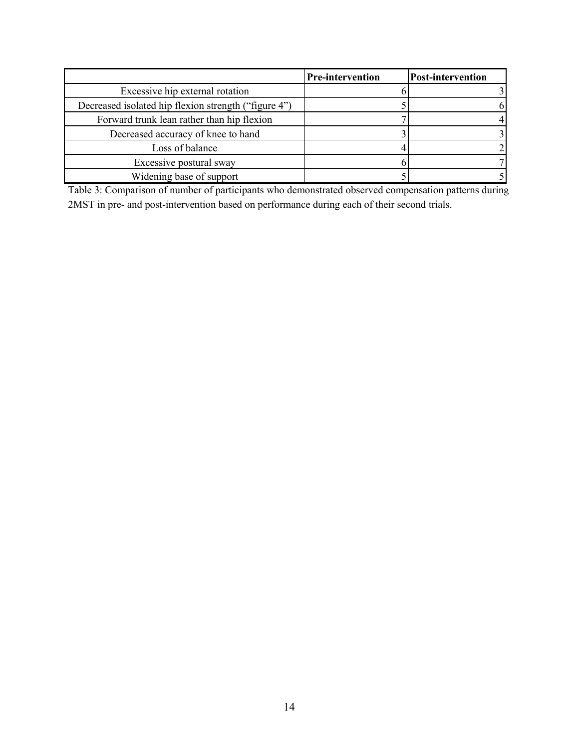|                                                      | <b>Pre-intervention</b> | <b>Post-intervention</b> |
|------------------------------------------------------|-------------------------|--------------------------|
| Excessive hip external rotation                      |                         |                          |
| Decreased isolated hip flexion strength ("figure 4") |                         | 61                       |
| Forward trunk lean rather than hip flexion           |                         |                          |
| Decreased accuracy of knee to hand                   |                         |                          |
| Loss of balance                                      |                         |                          |
| Excessive postural sway                              |                         |                          |
| Widening base of support                             |                         |                          |

Table 3: Comparison of number of participants who demonstrated observed compensation patterns during 2MST in pre- and post-intervention based on performance during each of their second trials.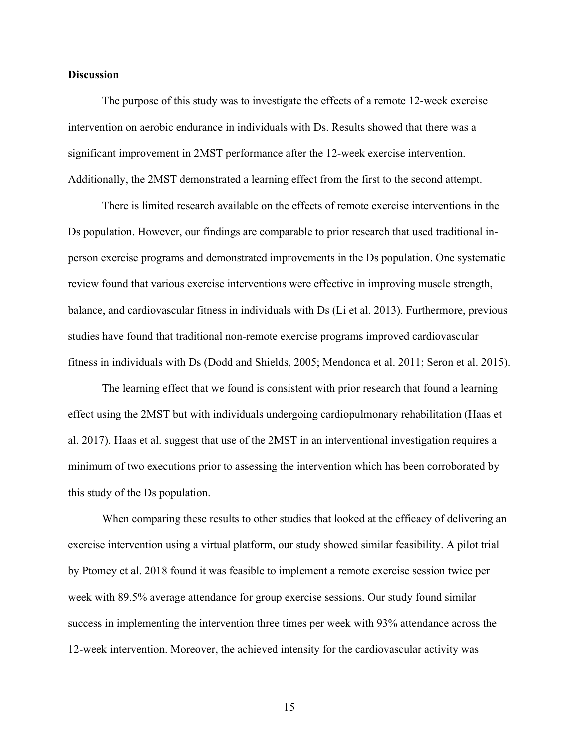#### **Discussion**

The purpose of this study was to investigate the effects of a remote 12-week exercise intervention on aerobic endurance in individuals with Ds. Results showed that there was a significant improvement in 2MST performance after the 12-week exercise intervention. Additionally, the 2MST demonstrated a learning effect from the first to the second attempt.

There is limited research available on the effects of remote exercise interventions in the Ds population. However, our findings are comparable to prior research that used traditional inperson exercise programs and demonstrated improvements in the Ds population. One systematic review found that various exercise interventions were effective in improving muscle strength, balance, and cardiovascular fitness in individuals with Ds (Li et al. 2013). Furthermore, previous studies have found that traditional non-remote exercise programs improved cardiovascular fitness in individuals with Ds (Dodd and Shields, 2005; Mendonca et al. 2011; Seron et al. 2015).

The learning effect that we found is consistent with prior research that found a learning effect using the 2MST but with individuals undergoing cardiopulmonary rehabilitation (Haas et al. 2017). Haas et al. suggest that use of the 2MST in an interventional investigation requires a minimum of two executions prior to assessing the intervention which has been corroborated by this study of the Ds population.

When comparing these results to other studies that looked at the efficacy of delivering an exercise intervention using a virtual platform, our study showed similar feasibility. A pilot trial by Ptomey et al. 2018 found it was feasible to implement a remote exercise session twice per week with 89.5% average attendance for group exercise sessions. Our study found similar success in implementing the intervention three times per week with 93% attendance across the 12-week intervention. Moreover, the achieved intensity for the cardiovascular activity was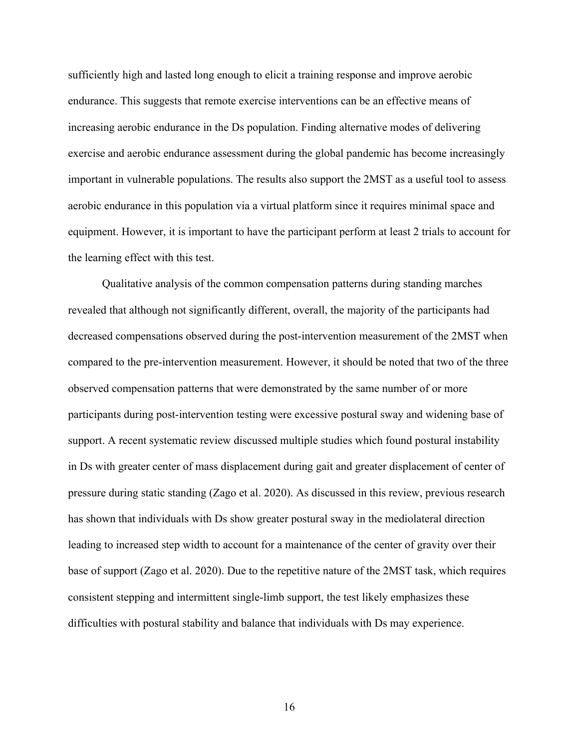sufficiently high and lasted long enough to elicit a training response and improve aerobic endurance. This suggests that remote exercise interventions can be an effective means of increasing aerobic endurance in the Ds population. Finding alternative modes of delivering exercise and aerobic endurance assessment during the global pandemic has become increasingly important in vulnerable populations. The results also support the 2MST as a useful tool to assess aerobic endurance in this population via a virtual platform since it requires minimal space and equipment. However, it is important to have the participant perform at least 2 trials to account for the learning effect with this test.

Qualitative analysis of the common compensation patterns during standing marches revealed that although not significantly different, overall, the majority of the participants had decreased compensations observed during the post-intervention measurement of the 2MST when compared to the pre-intervention measurement. However, it should be noted that two of the three observed compensation patterns that were demonstrated by the same number of or more participants during post-intervention testing were excessive postural sway and widening base of support. A recent systematic review discussed multiple studies which found postural instability in Ds with greater center of mass displacement during gait and greater displacement of center of pressure during static standing (Zago et al. 2020). As discussed in this review, previous research has shown that individuals with Ds show greater postural sway in the mediolateral direction leading to increased step width to account for a maintenance of the center of gravity over their base of support (Zago et al. 2020). Due to the repetitive nature of the 2MST task, which requires consistent stepping and intermittent single-limb support, the test likely emphasizes these difficulties with postural stability and balance that individuals with Ds may experience.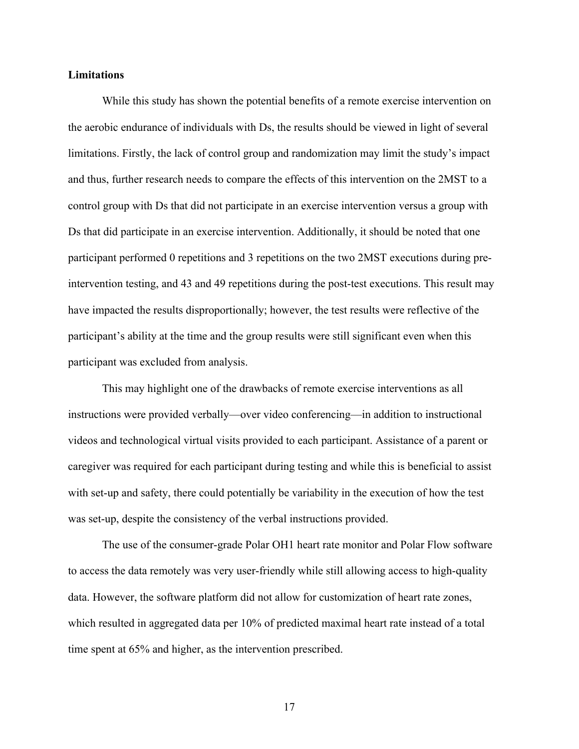#### **Limitations**

While this study has shown the potential benefits of a remote exercise intervention on the aerobic endurance of individuals with Ds, the results should be viewed in light of several limitations. Firstly, the lack of control group and randomization may limit the study's impact and thus, further research needs to compare the effects of this intervention on the 2MST to a control group with Ds that did not participate in an exercise intervention versus a group with Ds that did participate in an exercise intervention. Additionally, it should be noted that one participant performed 0 repetitions and 3 repetitions on the two 2MST executions during preintervention testing, and 43 and 49 repetitions during the post-test executions. This result may have impacted the results disproportionally; however, the test results were reflective of the participant's ability at the time and the group results were still significant even when this participant was excluded from analysis.

This may highlight one of the drawbacks of remote exercise interventions as all instructions were provided verbally—over video conferencing—in addition to instructional videos and technological virtual visits provided to each participant. Assistance of a parent or caregiver was required for each participant during testing and while this is beneficial to assist with set-up and safety, there could potentially be variability in the execution of how the test was set-up, despite the consistency of the verbal instructions provided.

The use of the consumer-grade Polar OH1 heart rate monitor and Polar Flow software to access the data remotely was very user-friendly while still allowing access to high-quality data. However, the software platform did not allow for customization of heart rate zones, which resulted in aggregated data per 10% of predicted maximal heart rate instead of a total time spent at 65% and higher, as the intervention prescribed.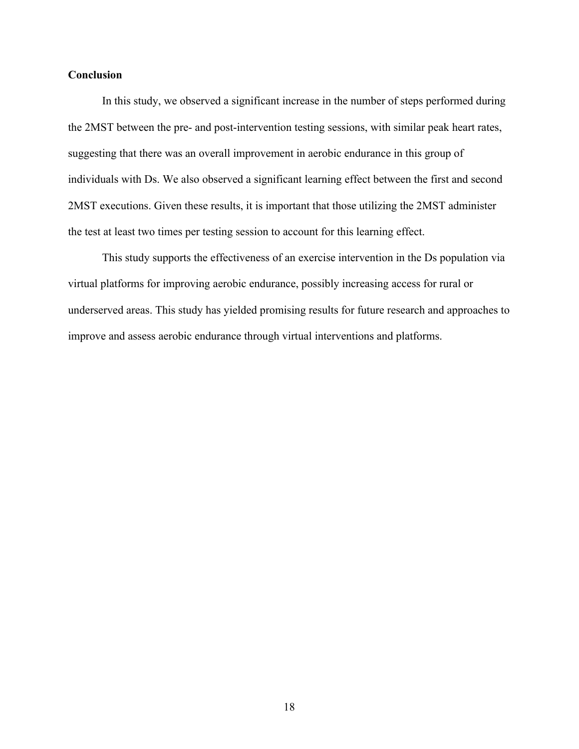#### **Conclusion**

In this study, we observed a significant increase in the number of steps performed during the 2MST between the pre- and post-intervention testing sessions, with similar peak heart rates, suggesting that there was an overall improvement in aerobic endurance in this group of individuals with Ds. We also observed a significant learning effect between the first and second 2MST executions. Given these results, it is important that those utilizing the 2MST administer the test at least two times per testing session to account for this learning effect.

This study supports the effectiveness of an exercise intervention in the Ds population via virtual platforms for improving aerobic endurance, possibly increasing access for rural or underserved areas. This study has yielded promising results for future research and approaches to improve and assess aerobic endurance through virtual interventions and platforms.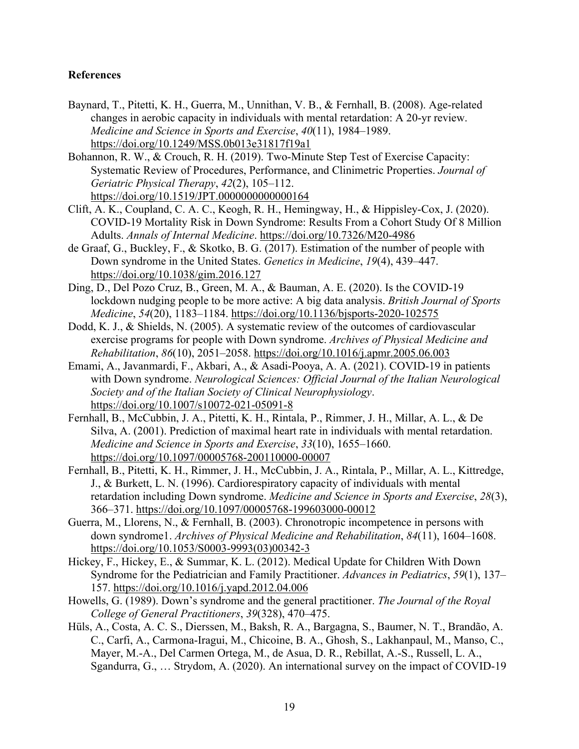#### **References**

Baynard, T., Pitetti, K. H., Guerra, M., Unnithan, V. B., & Fernhall, B. (2008). Age-related changes in aerobic capacity in individuals with mental retardation: A 20-yr review. *Medicine and Science in Sports and Exercise*, *40*(11), 1984–1989. https://doi.org/10.1249/MSS.0b013e31817f19a1

Bohannon, R. W., & Crouch, R. H. (2019). Two-Minute Step Test of Exercise Capacity: Systematic Review of Procedures, Performance, and Clinimetric Properties. *Journal of Geriatric Physical Therapy*, *42*(2), 105–112. https://doi.org/10.1519/JPT.0000000000000164

- Clift, A. K., Coupland, C. A. C., Keogh, R. H., Hemingway, H., & Hippisley-Cox, J. (2020). COVID-19 Mortality Risk in Down Syndrome: Results From a Cohort Study Of 8 Million Adults. *Annals of Internal Medicine*. https://doi.org/10.7326/M20-4986
- de Graaf, G., Buckley, F., & Skotko, B. G. (2017). Estimation of the number of people with Down syndrome in the United States. *Genetics in Medicine*, *19*(4), 439–447. https://doi.org/10.1038/gim.2016.127
- Ding, D., Del Pozo Cruz, B., Green, M. A., & Bauman, A. E. (2020). Is the COVID-19 lockdown nudging people to be more active: A big data analysis. *British Journal of Sports Medicine*, *54*(20), 1183–1184. https://doi.org/10.1136/bjsports-2020-102575
- Dodd, K. J., & Shields, N. (2005). A systematic review of the outcomes of cardiovascular exercise programs for people with Down syndrome. *Archives of Physical Medicine and Rehabilitation*, *86*(10), 2051–2058. https://doi.org/10.1016/j.apmr.2005.06.003
- Emami, A., Javanmardi, F., Akbari, A., & Asadi-Pooya, A. A. (2021). COVID-19 in patients with Down syndrome. *Neurological Sciences: Official Journal of the Italian Neurological Society and of the Italian Society of Clinical Neurophysiology*. https://doi.org/10.1007/s10072-021-05091-8
- Fernhall, B., McCubbin, J. A., Pitetti, K. H., Rintala, P., Rimmer, J. H., Millar, A. L., & De Silva, A. (2001). Prediction of maximal heart rate in individuals with mental retardation. *Medicine and Science in Sports and Exercise*, *33*(10), 1655–1660. https://doi.org/10.1097/00005768-200110000-00007
- Fernhall, B., Pitetti, K. H., Rimmer, J. H., McCubbin, J. A., Rintala, P., Millar, A. L., Kittredge, J., & Burkett, L. N. (1996). Cardiorespiratory capacity of individuals with mental retardation including Down syndrome. *Medicine and Science in Sports and Exercise*, *28*(3), 366–371. https://doi.org/10.1097/00005768-199603000-00012
- Guerra, M., Llorens, N., & Fernhall, B. (2003). Chronotropic incompetence in persons with down syndrome1. *Archives of Physical Medicine and Rehabilitation*, *84*(11), 1604–1608. https://doi.org/10.1053/S0003-9993(03)00342-3
- Hickey, F., Hickey, E., & Summar, K. L. (2012). Medical Update for Children With Down Syndrome for the Pediatrician and Family Practitioner. *Advances in Pediatrics*, *59*(1), 137– 157. https://doi.org/10.1016/j.yapd.2012.04.006
- Howells, G. (1989). Down's syndrome and the general practitioner. *The Journal of the Royal College of General Practitioners*, *39*(328), 470–475.
- Hüls, A., Costa, A. C. S., Dierssen, M., Baksh, R. A., Bargagna, S., Baumer, N. T., Brandão, A. C., Carfi, A., Carmona-Iragui, M., Chicoine, B. A., Ghosh, S., Lakhanpaul, M., Manso, C., Mayer, M.-A., Del Carmen Ortega, M., de Asua, D. R., Rebillat, A.-S., Russell, L. A., Sgandurra, G., … Strydom, A. (2020). An international survey on the impact of COVID-19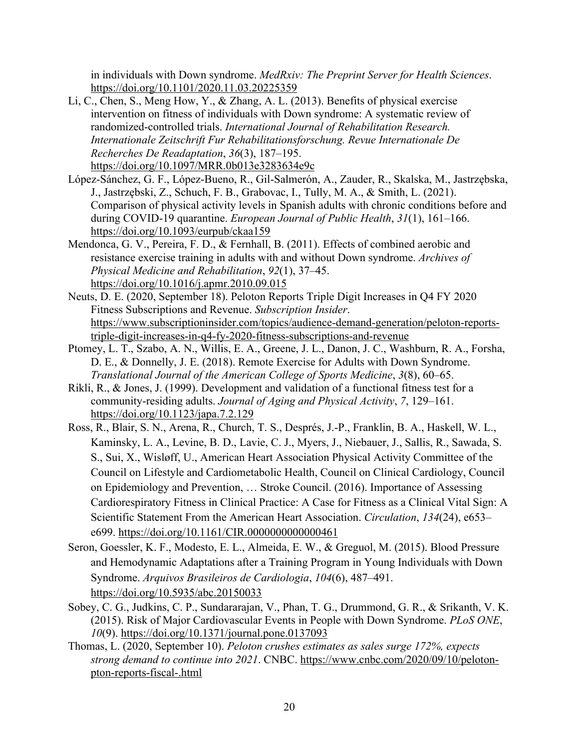in individuals with Down syndrome. *MedRxiv: The Preprint Server for Health Sciences*. https://doi.org/10.1101/2020.11.03.20225359

- Li, C., Chen, S., Meng How, Y., & Zhang, A. L. (2013). Benefits of physical exercise intervention on fitness of individuals with Down syndrome: A systematic review of randomized-controlled trials. *International Journal of Rehabilitation Research. Internationale Zeitschrift Fur Rehabilitationsforschung. Revue Internationale De Recherches De Readaptation*, *36*(3), 187–195. https://doi.org/10.1097/MRR.0b013e3283634e9c
- López-Sánchez, G. F., López-Bueno, R., Gil-Salmerón, A., Zauder, R., Skalska, M., Jastrzębska, J., Jastrzębski, Z., Schuch, F. B., Grabovac, I., Tully, M. A., & Smith, L. (2021). Comparison of physical activity levels in Spanish adults with chronic conditions before and during COVID-19 quarantine. *European Journal of Public Health*, *31*(1), 161–166. https://doi.org/10.1093/eurpub/ckaa159
- Mendonca, G. V., Pereira, F. D., & Fernhall, B. (2011). Effects of combined aerobic and resistance exercise training in adults with and without Down syndrome. *Archives of Physical Medicine and Rehabilitation*, *92*(1), 37–45. https://doi.org/10.1016/j.apmr.2010.09.015
- Neuts, D. E. (2020, September 18). Peloton Reports Triple Digit Increases in Q4 FY 2020 Fitness Subscriptions and Revenue. *Subscription Insider*. https://www.subscriptioninsider.com/topics/audience-demand-generation/peloton-reportstriple-digit-increases-in-q4-fy-2020-fitness-subscriptions-and-revenue
- Ptomey, L. T., Szabo, A. N., Willis, E. A., Greene, J. L., Danon, J. C., Washburn, R. A., Forsha, D. E., & Donnelly, J. E. (2018). Remote Exercise for Adults with Down Syndrome. *Translational Journal of the American College of Sports Medicine*, *3*(8), 60–65.
- Rikli, R., & Jones, J. (1999). Development and validation of a functional fitness test for a community-residing adults. *Journal of Aging and Physical Activity*, *7*, 129–161. https://doi.org/10.1123/japa.7.2.129
- Ross, R., Blair, S. N., Arena, R., Church, T. S., Després, J.-P., Franklin, B. A., Haskell, W. L., Kaminsky, L. A., Levine, B. D., Lavie, C. J., Myers, J., Niebauer, J., Sallis, R., Sawada, S. S., Sui, X., Wisløff, U., American Heart Association Physical Activity Committee of the Council on Lifestyle and Cardiometabolic Health, Council on Clinical Cardiology, Council on Epidemiology and Prevention, … Stroke Council. (2016). Importance of Assessing Cardiorespiratory Fitness in Clinical Practice: A Case for Fitness as a Clinical Vital Sign: A Scientific Statement From the American Heart Association. *Circulation*, *134*(24), e653– e699. https://doi.org/10.1161/CIR.0000000000000461
- Seron, Goessler, K. F., Modesto, E. L., Almeida, E. W., & Greguol, M. (2015). Blood Pressure and Hemodynamic Adaptations after a Training Program in Young Individuals with Down Syndrome. *Arquivos Brasileiros de Cardiologia*, *104*(6), 487–491. https://doi.org/10.5935/abc.20150033
- Sobey, C. G., Judkins, C. P., Sundararajan, V., Phan, T. G., Drummond, G. R., & Srikanth, V. K. (2015). Risk of Major Cardiovascular Events in People with Down Syndrome. *PLoS ONE*, *10*(9). https://doi.org/10.1371/journal.pone.0137093
- Thomas, L. (2020, September 10). *Peloton crushes estimates as sales surge 172%, expects strong demand to continue into 2021*. CNBC. https://www.cnbc.com/2020/09/10/pelotonpton-reports-fiscal-.html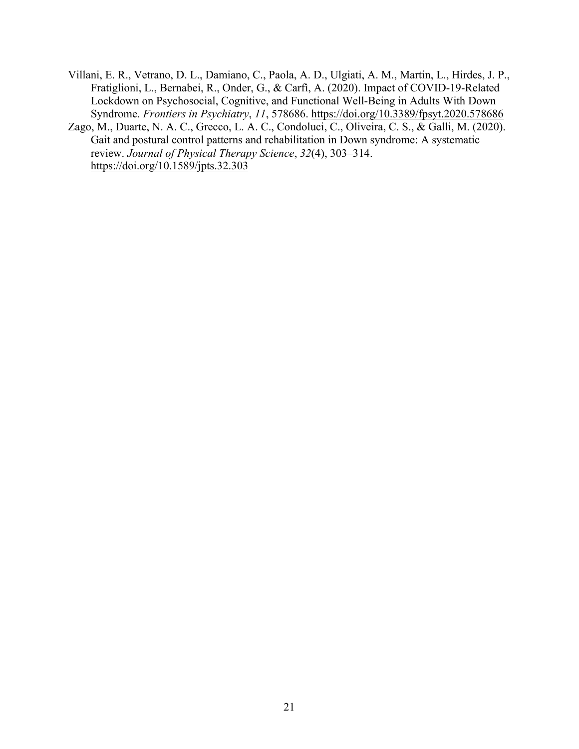Villani, E. R., Vetrano, D. L., Damiano, C., Paola, A. D., Ulgiati, A. M., Martin, L., Hirdes, J. P., Fratiglioni, L., Bernabei, R., Onder, G., & Carfì, A. (2020). Impact of COVID-19-Related Lockdown on Psychosocial, Cognitive, and Functional Well-Being in Adults With Down Syndrome. *Frontiers in Psychiatry*, *11*, 578686. https://doi.org/10.3389/fpsyt.2020.578686

Zago, M., Duarte, N. A. C., Grecco, L. A. C., Condoluci, C., Oliveira, C. S., & Galli, M. (2020). Gait and postural control patterns and rehabilitation in Down syndrome: A systematic review. *Journal of Physical Therapy Science*, *32*(4), 303–314. https://doi.org/10.1589/jpts.32.303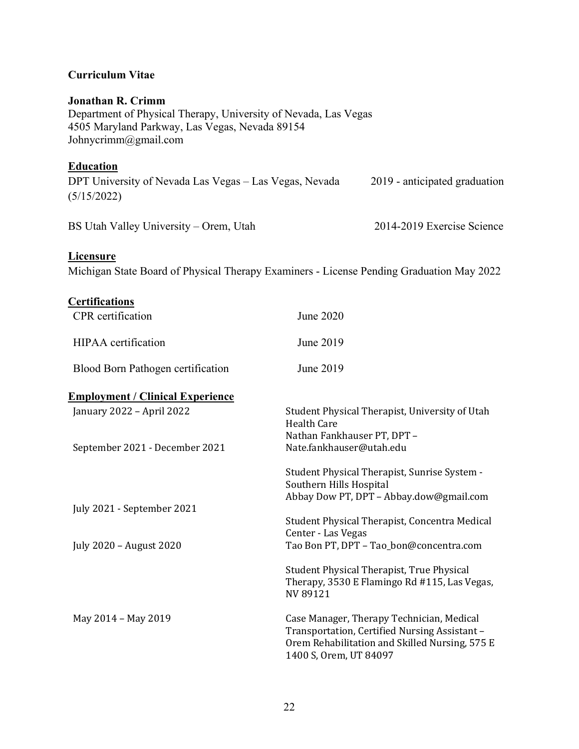# **Curriculum Vitae**

#### **Jonathan R. Crimm**

Department of Physical Therapy, University of Nevada, Las Vegas 4505 Maryland Parkway, Las Vegas, Nevada 89154 Johnycrimm@gmail.com

# **Education**

| DPT University of Nevada Las Vegas - Las Vegas, Nevada | 2019 - anticipated graduation |
|--------------------------------------------------------|-------------------------------|
| (5/15/2022)                                            |                               |

BS Utah Valley University – Orem, Utah 2014-2019 Exercise Science

#### **Licensure**

Michigan State Board of Physical Therapy Examiners - License Pending Graduation May 2022

| <b>Certifications</b>                   |                                                                                                                                                                        |
|-----------------------------------------|------------------------------------------------------------------------------------------------------------------------------------------------------------------------|
| CPR certification                       | June 2020                                                                                                                                                              |
| HIPAA certification                     | June 2019                                                                                                                                                              |
| Blood Born Pathogen certification       | June 2019                                                                                                                                                              |
| <b>Employment / Clinical Experience</b> |                                                                                                                                                                        |
| January 2022 - April 2022               | Student Physical Therapist, University of Utah<br><b>Health Care</b>                                                                                                   |
| September 2021 - December 2021          | Nathan Fankhauser PT, DPT -<br>Nate.fankhauser@utah.edu                                                                                                                |
|                                         | Student Physical Therapist, Sunrise System -<br>Southern Hills Hospital<br>Abbay Dow PT, DPT - Abbay.dow@gmail.com                                                     |
| July 2021 - September 2021              | Student Physical Therapist, Concentra Medical                                                                                                                          |
| July 2020 - August 2020                 | Center - Las Vegas<br>Tao Bon PT, DPT - Tao_bon@concentra.com                                                                                                          |
|                                         | Student Physical Therapist, True Physical<br>Therapy, 3530 E Flamingo Rd #115, Las Vegas,<br>NV 89121                                                                  |
| May 2014 - May 2019                     | Case Manager, Therapy Technician, Medical<br>Transportation, Certified Nursing Assistant -<br>Orem Rehabilitation and Skilled Nursing, 575 E<br>1400 S, Orem, UT 84097 |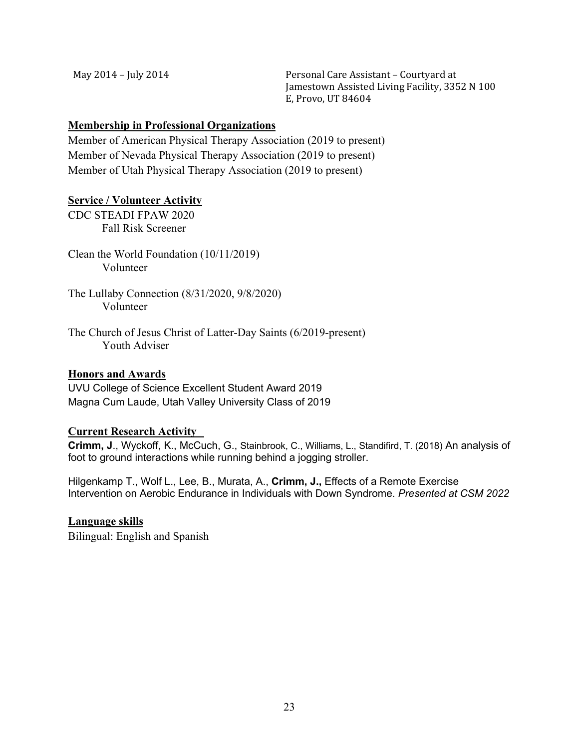May 2014 - July 2014 **County 10. 12. In the Solution County Personal Care Assistant - Courtyard at** Jamestown Assisted Living Facility, 3352 N 100 E, Provo, UT 84604

#### **Membership in Professional Organizations**

Member of American Physical Therapy Association (2019 to present) Member of Nevada Physical Therapy Association (2019 to present) Member of Utah Physical Therapy Association (2019 to present)

#### **Service / Volunteer Activity**

CDC STEADI FPAW 2020 Fall Risk Screener

Clean the World Foundation (10/11/2019) Volunteer

The Lullaby Connection (8/31/2020, 9/8/2020) Volunteer

The Church of Jesus Christ of Latter-Day Saints (6/2019-present) Youth Adviser

#### **Honors and Awards**

UVU College of Science Excellent Student Award 2019 Magna Cum Laude, Utah Valley University Class of 2019

# **Current Research Activity**

**Crimm, J**., Wyckoff, K., McCuch, G., Stainbrook, C., Williams, L., Standifird, T. (2018) An analysis of foot to ground interactions while running behind a jogging stroller.

Hilgenkamp T., Wolf L., Lee, B., Murata, A., **Crimm, J.,** Effects of a Remote Exercise Intervention on Aerobic Endurance in Individuals with Down Syndrome. *Presented at CSM 2022*

**Language skills**  Bilingual: English and Spanish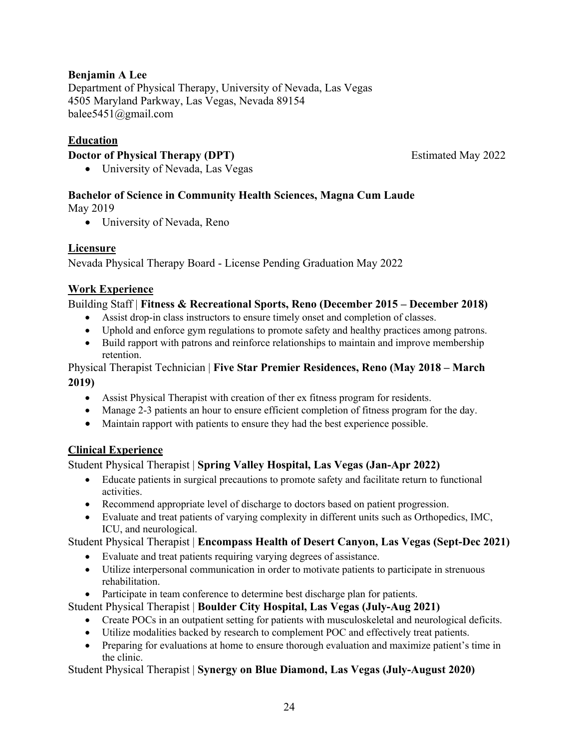# **Benjamin A Lee**

Department of Physical Therapy, University of Nevada, Las Vegas 4505 Maryland Parkway, Las Vegas, Nevada 89154 balee5451@gmail.com

# **Education**

#### **Doctor of Physical Therapy (DPT)** Estimated May 2022

• University of Nevada, Las Vegas

# **Bachelor of Science in Community Health Sciences, Magna Cum Laude**

May 2019

• University of Nevada, Reno

# **Licensure**

Nevada Physical Therapy Board - License Pending Graduation May 2022

#### **Work Experience**

#### Building Staff | **Fitness & Recreational Sports, Reno (December 2015 – December 2018)**

- Assist drop-in class instructors to ensure timely onset and completion of classes.
- Uphold and enforce gym regulations to promote safety and healthy practices among patrons.
- Build rapport with patrons and reinforce relationships to maintain and improve membership retention.

Physical Therapist Technician | **Five Star Premier Residences, Reno (May 2018 – March 2019)**

- Assist Physical Therapist with creation of ther ex fitness program for residents.
- Manage 2-3 patients an hour to ensure efficient completion of fitness program for the day.
- Maintain rapport with patients to ensure they had the best experience possible.

# **Clinical Experience**

# Student Physical Therapist | **Spring Valley Hospital, Las Vegas (Jan-Apr 2022)**

- Educate patients in surgical precautions to promote safety and facilitate return to functional activities.
- Recommend appropriate level of discharge to doctors based on patient progression.
- Evaluate and treat patients of varying complexity in different units such as Orthopedics, IMC, ICU, and neurological.

Student Physical Therapist | **Encompass Health of Desert Canyon, Las Vegas (Sept-Dec 2021)**

- Evaluate and treat patients requiring varying degrees of assistance.
- Utilize interpersonal communication in order to motivate patients to participate in strenuous rehabilitation.
- Participate in team conference to determine best discharge plan for patients.

Student Physical Therapist | **Boulder City Hospital, Las Vegas (July-Aug 2021)**

- Create POCs in an outpatient setting for patients with musculoskeletal and neurological deficits.
- Utilize modalities backed by research to complement POC and effectively treat patients.
- Preparing for evaluations at home to ensure thorough evaluation and maximize patient's time in the clinic.

Student Physical Therapist | **Synergy on Blue Diamond, Las Vegas (July-August 2020)**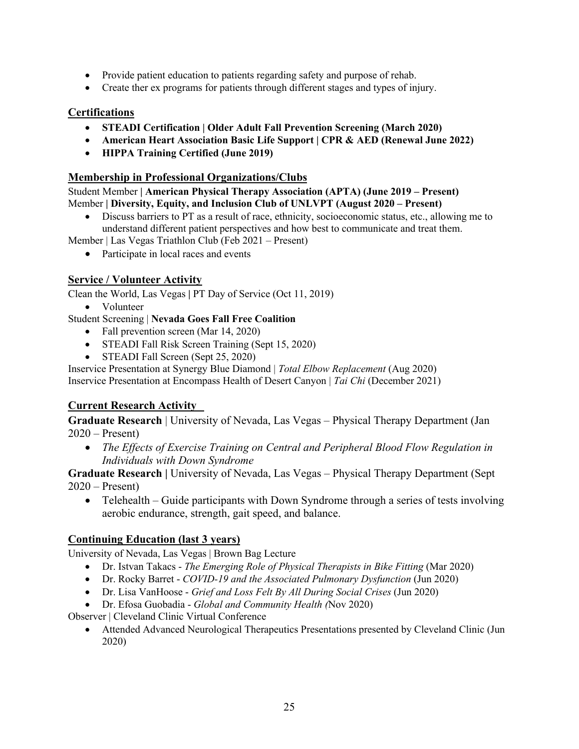- Provide patient education to patients regarding safety and purpose of rehab.
- Create ther ex programs for patients through different stages and types of injury.

#### **Certifications**

- **STEADI Certification | Older Adult Fall Prevention Screening (March 2020)**
- **American Heart Association Basic Life Support | CPR & AED (Renewal June 2022)**
- **HIPPA Training Certified (June 2019)**

#### **Membership in Professional Organizations/Clubs**

Student Member **| American Physical Therapy Association (APTA) (June 2019 – Present)** Member **| Diversity, Equity, and Inclusion Club of UNLVPT (August 2020 – Present)**

• Discuss barriers to PT as a result of race, ethnicity, socioeconomic status, etc., allowing me to understand different patient perspectives and how best to communicate and treat them.

Member | Las Vegas Triathlon Club (Feb 2021 – Present)

• Participate in local races and events

#### **Service / Volunteer Activity**

Clean the World, Las Vegas **|** PT Day of Service (Oct 11, 2019)

• Volunteer

#### Student Screening | **Nevada Goes Fall Free Coalition**

- Fall prevention screen (Mar 14, 2020)
- STEADI Fall Risk Screen Training (Sept 15, 2020)
- STEADI Fall Screen (Sept 25, 2020)
- Inservice Presentation at Synergy Blue Diamond | *Total Elbow Replacement* (Aug 2020)

Inservice Presentation at Encompass Health of Desert Canyon | *Tai Chi* (December 2021)

# **Current Research Activity**

**Graduate Research** | University of Nevada, Las Vegas – Physical Therapy Department (Jan  $2020$  – Present)

• *The Effects of Exercise Training on Central and Peripheral Blood Flow Regulation in Individuals with Down Syndrome*

**Graduate Research** | University of Nevada, Las Vegas – Physical Therapy Department (Sept  $2020$  – Present)

• Telehealth – Guide participants with Down Syndrome through a series of tests involving aerobic endurance, strength, gait speed, and balance.

# **Continuing Education (last 3 years)**

University of Nevada, Las Vegas | Brown Bag Lecture

- Dr. Istvan Takacs *The Emerging Role of Physical Therapists in Bike Fitting* (Mar 2020)
- Dr. Rocky Barret *COVID-19 and the Associated Pulmonary Dysfunction* (Jun 2020)
- Dr. Lisa VanHoose *Grief and Loss Felt By All During Social Crises* (Jun 2020)
- Dr. Efosa Guobadia *Global and Community Health (*Nov 2020)

Observer | Cleveland Clinic Virtual Conference

• Attended Advanced Neurological Therapeutics Presentations presented by Cleveland Clinic (Jun 2020)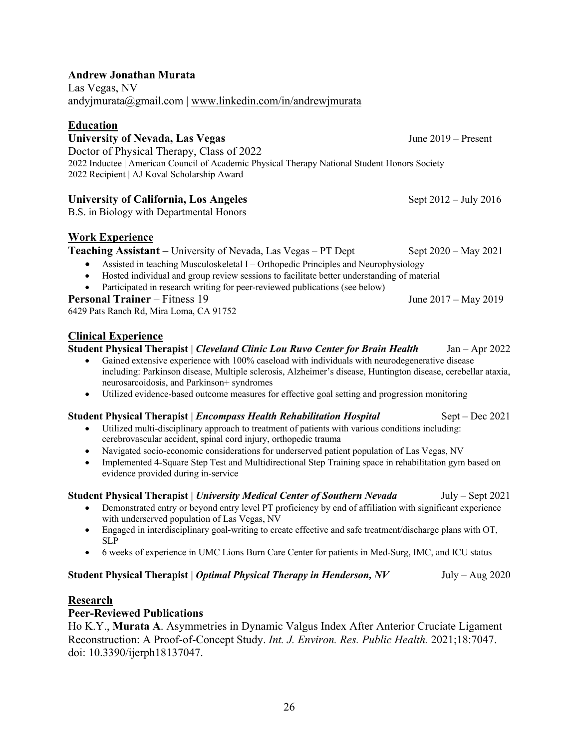#### **Andrew Jonathan Murata**

Las Vegas, NV andyjmurata@gmail.com | www.linkedin.com/in/andrewjmurata

#### **Education**

University of Nevada, Las Vegas June 2019 – Present Doctor of Physical Therapy, Class of 2022 2022 Inductee | American Council of Academic Physical Therapy National Student Honors Society 2022 Recipient | AJ Koval Scholarship Award

#### **University of California, Los Angeles** Sept 2012 – July 2016

B.S. in Biology with Departmental Honors

# **Work Experience**

**Teaching Assistant** – University of Nevada, Las Vegas – PT Dept Sept 2020 – May 2021

- Assisted in teaching Musculoskeletal I Orthopedic Principles and Neurophysiology
- Hosted individual and group review sessions to facilitate better understanding of material
- Participated in research writing for peer-reviewed publications (see below)

#### **Personal Trainer** – Fitness 19 June 2017 – May 2019

6429 Pats Ranch Rd, Mira Loma, CA 91752

#### **Clinical Experience**

**Student Physical Therapist |** *Cleveland Clinic Lou Ruvo Center for Brain Health* Jan – Apr 2022

- Gained extensive experience with 100% caseload with individuals with neurodegenerative disease including: Parkinson disease, Multiple sclerosis, Alzheimer's disease, Huntington disease, cerebellar ataxia, neurosarcoidosis, and Parkinson+ syndromes
- Utilized evidence-based outcome measures for effective goal setting and progression monitoring

#### **Student Physical Therapist |** *Encompass Health Rehabilitation Hospital* Sept – Dec 2021

- Utilized multi-disciplinary approach to treatment of patients with various conditions including: cerebrovascular accident, spinal cord injury, orthopedic trauma
- Navigated socio-economic considerations for underserved patient population of Las Vegas, NV
- Implemented 4-Square Step Test and Multidirectional Step Training space in rehabilitation gym based on evidence provided during in-service

#### **Student Physical Therapist |** *University Medical Center of Southern Nevada* July – Sept 2021

- Demonstrated entry or beyond entry level PT proficiency by end of affiliation with significant experience with underserved population of Las Vegas, NV
- Engaged in interdisciplinary goal-writing to create effective and safe treatment/discharge plans with OT, SLP
- 6 weeks of experience in UMC Lions Burn Care Center for patients in Med-Surg, IMC, and ICU status

#### **Student Physical Therapist |** *Optimal Physical Therapy in Henderson, NV* **July – Aug 2020**

#### **Research**

# **Peer-Reviewed Publications**

Ho K.Y., **Murata A**. Asymmetries in Dynamic Valgus Index After Anterior Cruciate Ligament Reconstruction: A Proof-of-Concept Study. *Int. J. Environ. Res. Public Health.* 2021;18:7047. doi: 10.3390/ijerph18137047.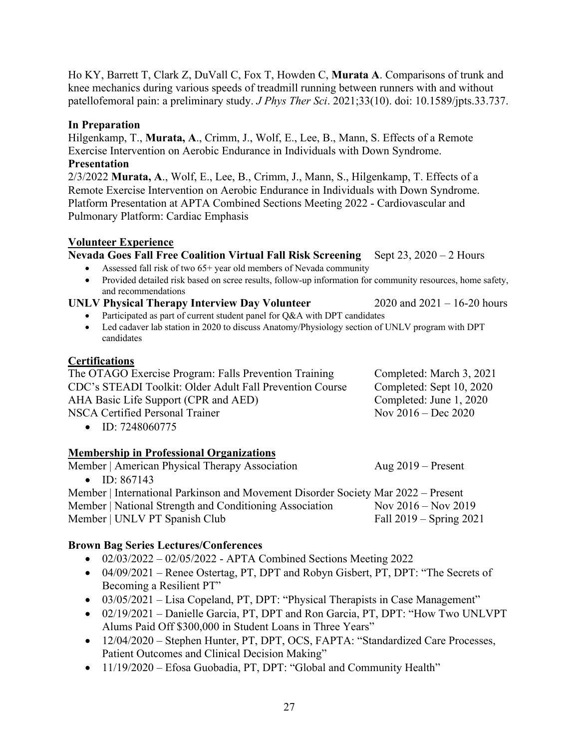27

Ho KY, Barrett T, Clark Z, DuVall C, Fox T, Howden C, **Murata A**. Comparisons of trunk and knee mechanics during various speeds of treadmill running between runners with and without patellofemoral pain: a preliminary study. *J Phys Ther Sci*. 2021;33(10). doi: 10.1589/jpts.33.737.

#### **In Preparation**

Hilgenkamp, T., **Murata, A**., Crimm, J., Wolf, E., Lee, B., Mann, S. Effects of a Remote Exercise Intervention on Aerobic Endurance in Individuals with Down Syndrome.

#### **Presentation**

2/3/2022 **Murata, A**., Wolf, E., Lee, B., Crimm, J., Mann, S., Hilgenkamp, T. Effects of a Remote Exercise Intervention on Aerobic Endurance in Individuals with Down Syndrome. Platform Presentation at APTA Combined Sections Meeting 2022 - Cardiovascular and Pulmonary Platform: Cardiac Emphasis

# **Volunteer Experience**

**Nevada Goes Fall Free Coalition Virtual Fall Risk Screening** Sept 23, 2020 – 2 Hours

- Assessed fall risk of two  $65+$  year old members of Nevada community
- Provided detailed risk based on scree results, follow-up information for community resources, home safety, and recommendations

# **UNLV Physical Therapy Interview Day Volunteer** 2020 and 2021 – 16-20 hours

- Participated as part of current student panel for Q&A with DPT candidates
- Led cadaver lab station in 2020 to discuss Anatomy/Physiology section of UNLV program with DPT candidates

# **Certifications**

| The OTAGO Exercise Program: Falls Prevention Training    | Completed: March 3, 2021 |
|----------------------------------------------------------|--------------------------|
| CDC's STEADI Toolkit: Older Adult Fall Prevention Course | Completed: Sept 10, 2020 |
| AHA Basic Life Support (CPR and AED)                     | Completed: June 1, 2020  |
| NSCA Certified Personal Trainer                          | Nov $2016 - Dec 2020$    |
| $\bullet$ ID: 7248060775                                 |                          |

# **Membership in Professional Organizations**

| Member   American Physical Therapy Association                                    | Aug $2019$ – Present    |                         |
|-----------------------------------------------------------------------------------|-------------------------|-------------------------|
| • ID: $867143$                                                                    |                         |                         |
| Member   International Parkinson and Movement Disorder Society Mar 2022 – Present |                         |                         |
| Member   National Strength and Conditioning Association                           | Nov $2016 -$ Nov $2019$ |                         |
| Member   UNLV PT Spanish Club                                                     |                         | Fall 2019 – Spring 2021 |

# **Brown Bag Series Lectures/Conferences**

- $02/03/2022 02/05/2022$  APTA Combined Sections Meeting 2022
- 04/09/2021 Renee Ostertag, PT, DPT and Robyn Gisbert, PT, DPT: "The Secrets of Becoming a Resilient PT"
- 03/05/2021 Lisa Copeland, PT, DPT: "Physical Therapists in Case Management"
- 02/19/2021 Danielle Garcia, PT, DPT and Ron Garcia, PT, DPT: "How Two UNLVPT Alums Paid Off \$300,000 in Student Loans in Three Years"
- 12/04/2020 Stephen Hunter, PT, DPT, OCS, FAPTA: "Standardized Care Processes, Patient Outcomes and Clinical Decision Making"
- 11/19/2020 Efosa Guobadia, PT, DPT: "Global and Community Health"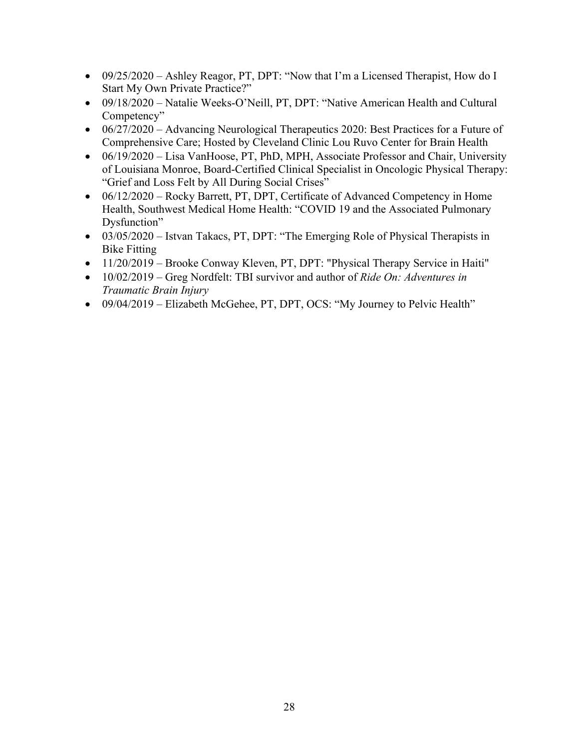- 09/25/2020 Ashley Reagor, PT, DPT: "Now that I'm a Licensed Therapist, How do I Start My Own Private Practice?"
- 09/18/2020 Natalie Weeks-O'Neill, PT, DPT: "Native American Health and Cultural Competency"
- $06/27/2020$  Advancing Neurological Therapeutics 2020: Best Practices for a Future of Comprehensive Care; Hosted by Cleveland Clinic Lou Ruvo Center for Brain Health
- 06/19/2020 Lisa VanHoose, PT, PhD, MPH, Associate Professor and Chair, University of Louisiana Monroe, Board-Certified Clinical Specialist in Oncologic Physical Therapy: "Grief and Loss Felt by All During Social Crises"
- 06/12/2020 Rocky Barrett, PT, DPT, Certificate of Advanced Competency in Home Health, Southwest Medical Home Health: "COVID 19 and the Associated Pulmonary Dysfunction"
- 03/05/2020 Istvan Takacs, PT, DPT: "The Emerging Role of Physical Therapists in Bike Fitting
- 11/20/2019 Brooke Conway Kleven, PT, DPT: "Physical Therapy Service in Haiti"
- 10/02/2019 Greg Nordfelt: TBI survivor and author of *Ride On: Adventures in Traumatic Brain Injury*
- 09/04/2019 Elizabeth McGehee, PT, DPT, OCS: "My Journey to Pelvic Health"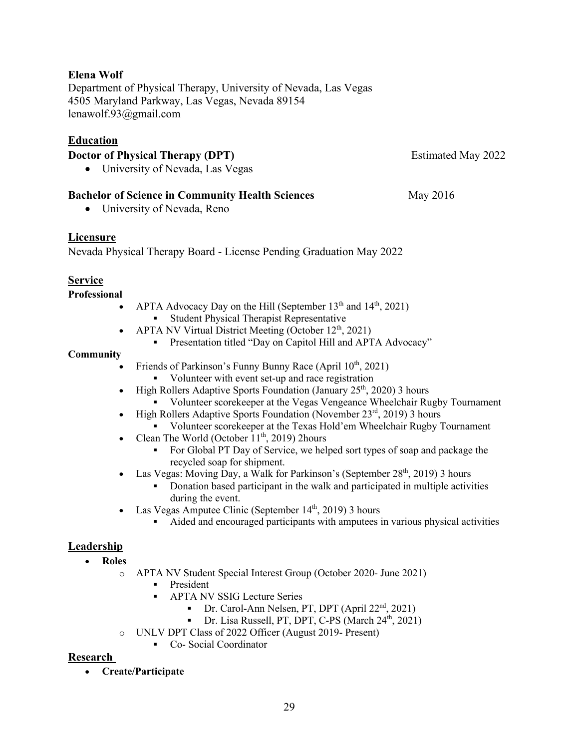# **Elena Wolf**

Department of Physical Therapy, University of Nevada, Las Vegas 4505 Maryland Parkway, Las Vegas, Nevada 89154 lenawolf.93@gmail.com

# **Education**

#### **Doctor of Physical Therapy (DPT)** Estimated May 2022

• University of Nevada, Las Vegas

# **Bachelor of Science in Community Health Sciences** May 2016

• University of Nevada, Reno

#### **Licensure**

Nevada Physical Therapy Board - License Pending Graduation May 2022

#### **Service**

**Professional**

- APTA Advocacy Day on the Hill (September  $13<sup>th</sup>$  and  $14<sup>th</sup>$ , 2021)
	- § Student Physical Therapist Representative
- APTA NV Virtual District Meeting (October  $12^{th}$ , 2021)
	- § Presentation titled "Day on Capitol Hill and APTA Advocacy"

#### **Community**

- Friends of Parkinson's Funny Bunny Race (April 10<sup>th</sup>, 2021)
	- Volunteer with event set-up and race registration
- High Rollers Adaptive Sports Foundation (January  $25<sup>th</sup>$ , 2020) 3 hours
	- § Volunteer scorekeeper at the Vegas Vengeance Wheelchair Rugby Tournament
- High Rollers Adaptive Sports Foundation (November  $23<sup>rd</sup>$ , 2019) 3 hours
	- § Volunteer scorekeeper at the Texas Hold'em Wheelchair Rugby Tournament
- Clean The World (October  $11^{th}$ , 2019) 2hours
	- § For Global PT Day of Service, we helped sort types of soap and package the recycled soap for shipment.
- Las Vegas: Moving Day, a Walk for Parkinson's (September  $28<sup>th</sup>$ , 2019) 3 hours
	- § Donation based participant in the walk and participated in multiple activities during the event.
- Las Vegas Amputee Clinic (September  $14<sup>th</sup>$ , 2019) 3 hours
	- Aided and encouraged participants with amputees in various physical activities

# **Leadership**

- **Roles**
	- o APTA NV Student Special Interest Group (October 2020- June 2021)
		- § President
		- § APTA NV SSIG Lecture Series
			- Dr. Carol-Ann Nelsen, PT, DPT (April 22<sup>nd</sup>, 2021)
			- Dr. Lisa Russell, PT, DPT, C-PS (March  $24<sup>th</sup>$ , 2021)
	- o UNLV DPT Class of 2022 Officer (August 2019- Present)
		- Co- Social Coordinator

#### **Research**

• **Create/Participate**